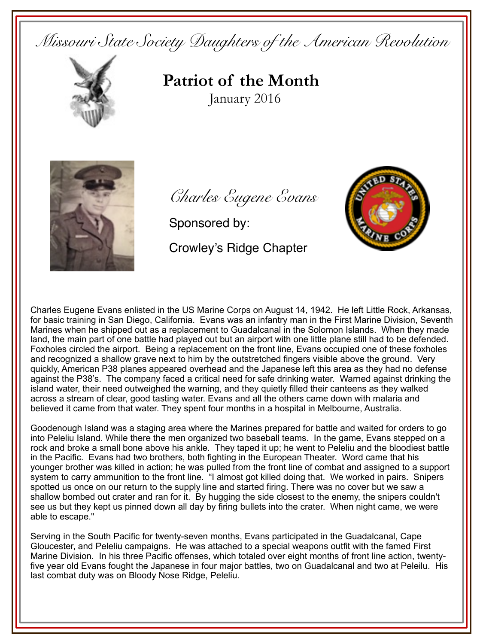*Missouri State Society Daughters of the American Revolution* 



**Patriot of the Month**January 2016



*Charles Eugene Evans*

Sponsored by:

 $S^{\mu}$ Emblem

Crowley's Ridge Chapter

Charles Eugene Evans enlisted in the US Marine Corps on August 14, 1942. He left Little Rock, Arkansas, for basic training in San Diego, California. Evans was an infantry man in the First Marine Division, Seventh Marines when he shipped out as a replacement to Guadalcanal in the Solomon Islands. When they made land, the main part of one battle had played out but an airport with one little plane still had to be defended. Foxholes circled the airport. Being a replacement on the front line, Evans occupied one of these foxholes and recognized a shallow grave next to him by the outstretched fingers visible above the ground. Very quickly, American P38 planes appeared overhead and the Japanese left this area as they had no defense against the P38's. The company faced a critical need for safe drinking water. Warned against drinking the island water, their need outweighed the warning, and they quietly filled their canteens as they walked across a stream of clear, good tasting water. Evans and all the others came down with malaria and believed it came from that water. They spent four months in a hospital in Melbourne, Australia.

Goodenough Island was a staging area where the Marines prepared for battle and waited for orders to go into Peleliu Island. While there the men organized two baseball teams. In the game, Evans stepped on a rock and broke a small bone above his ankle. They taped it up; he went to Peleliu and the bloodiest battle in the Pacific. Evans had two brothers, both fighting in the European Theater. Word came that his younger brother was killed in action; he was pulled from the front line of combat and assigned to a support system to carry ammunition to the front line. "I almost got killed doing that. We worked in pairs. Snipers spotted us once on our return to the supply line and started firing. There was no cover but we saw a shallow bombed out crater and ran for it. By hugging the side closest to the enemy, the snipers couldn't see us but they kept us pinned down all day by firing bullets into the crater. When night came, we were able to escape."

Serving in the South Pacific for twenty-seven months, Evans participated in the Guadalcanal, Cape Gloucester, and Peleliu campaigns. He was attached to a special weapons outfit with the famed First Marine Division. In his three Pacific offenses, which totaled over eight months of front line action, twentyfive year old Evans fought the Japanese in four major battles, two on Guadalcanal and two at Peleilu. His last combat duty was on Bloody Nose Ridge, Peleliu.